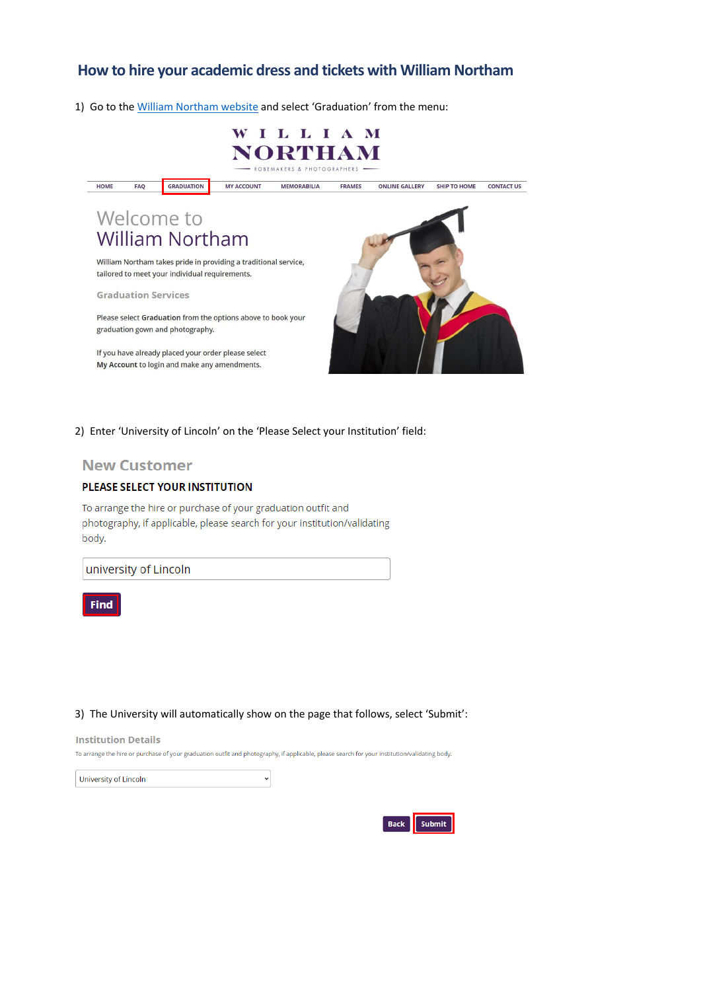# **How to hire your academic dress and tickets with William Northam**

1) Go to the [William Northam website](https://www.williamnortham.com/) and select 'Graduation' from the menu:



2) Enter 'University of Lincoln' on the 'Please Select your Institution' field:

## **New Customer**

### PLEASE SELECT YOUR INSTITUTION

To arrange the hire or purchase of your graduation outfit and photography, if applicable, please search for your institution/validating body.

university of Lincoln



3) The University will automatically show on the page that follows, select 'Submit':

**Institution Details** 

To arrange the hire or purchase of your graduation outfit and photography, if applicable, please search for your institution/validating body.

 $\checkmark$ 

University of Lincoln

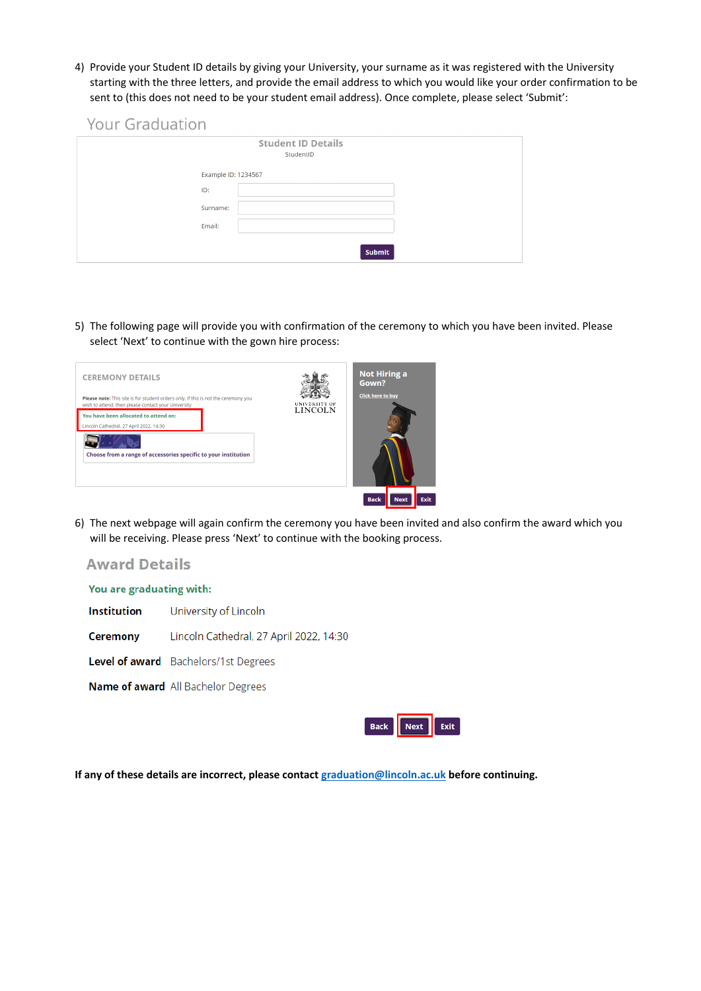4) Provide your Student ID details by giving your University, your surname as it was registered with the University starting with the three letters, and provide the email address to which you would like your order confirmation to be sent to (this does not need to be your student email address). Once complete, please select 'Submit':

|  | <b>Your Graduation</b> |
|--|------------------------|
|  |                        |

|                     | <b>Student ID Details</b><br>StudentID |
|---------------------|----------------------------------------|
| Example ID: 1234567 |                                        |
| ID:                 |                                        |
| Surname:            |                                        |
| Email:              |                                        |
|                     | <b>Submit</b>                          |

5) The following page will provide you with confirmation of the ceremony to which you have been invited. Please select 'Next' to continue with the gown hire process:

| <b>CEREMONY DETAILS</b><br>Please note: This site is for student orders only. If this is not the ceremony you<br>wish to attend, then please contact your University | UNIVERSITY OF<br><b>LINCOLN</b> | <b>Not Hiring a</b><br>Gown?<br><b>Click here to buy</b> |
|----------------------------------------------------------------------------------------------------------------------------------------------------------------------|---------------------------------|----------------------------------------------------------|
| You have been allocated to attend on:<br>Lincoln Cathedral, 27 April 2022, 14:30                                                                                     |                                 |                                                          |
| Choose from a range of accessories specific to your institution                                                                                                      |                                 |                                                          |
|                                                                                                                                                                      |                                 | <b>Exit</b><br><b>Next</b><br><b>Back</b>                |

6) The next webpage will again confirm the ceremony you have been invited and also confirm the award which you will be receiving. Please press 'Next' to continue with the booking process.

# **Award Details**

You are graduating with:

**Institution** University of Lincoln

Lincoln Cathedral, 27 April 2022, 14:30 **Ceremony** 

Level of award Bachelors/1st Degrees

Name of award All Bachelor Degrees



**If any of these details are incorrect, please contact [graduation@lincoln.ac.uk](mailto:graduation@lincoln.ac.uk) before continuing.**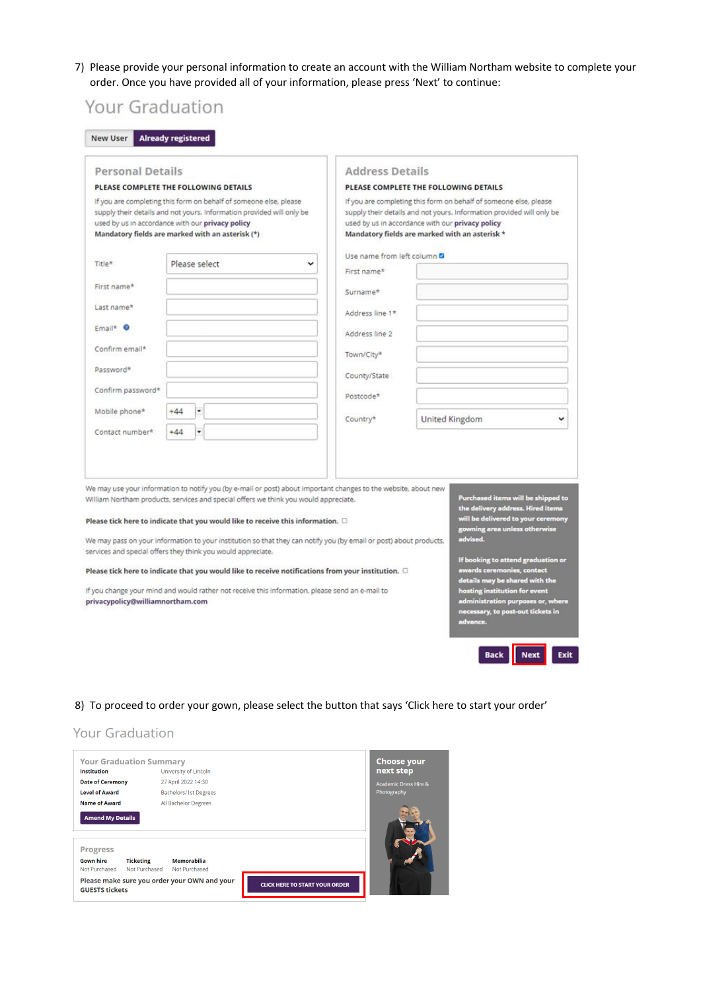7) Please provide your personal information to create an account with the William Northam website to complete your order. Once you have provided all of your information, please press 'Next' to continue:

| <b>Personal Details</b>          |                                                                                                                                                                                                                                                                                                                                                                                                                                                                                                                                                                                                                                                                                                |   | <b>Address Details</b>                                                                             |                |                                                                                                                                                                                                                                                                                                                                        |
|----------------------------------|------------------------------------------------------------------------------------------------------------------------------------------------------------------------------------------------------------------------------------------------------------------------------------------------------------------------------------------------------------------------------------------------------------------------------------------------------------------------------------------------------------------------------------------------------------------------------------------------------------------------------------------------------------------------------------------------|---|----------------------------------------------------------------------------------------------------|----------------|----------------------------------------------------------------------------------------------------------------------------------------------------------------------------------------------------------------------------------------------------------------------------------------------------------------------------------------|
|                                  | PLEASE COMPLETE THE FOLLOWING DETAILS                                                                                                                                                                                                                                                                                                                                                                                                                                                                                                                                                                                                                                                          |   | PLEASE COMPLETE THE FOLLOWING DETAILS                                                              |                |                                                                                                                                                                                                                                                                                                                                        |
|                                  | If you are completing this form on behalf of someone else, please<br>supply their details and not yours. Information provided will only be<br>used by us in accordance with our privacy policy<br>Mandatory fields are marked with an asterisk (*)                                                                                                                                                                                                                                                                                                                                                                                                                                             |   | used by us in accordance with our privacy policy<br>Mandatory fields are marked with an asterisk * |                | If you are completing this form on behalf of someone else, please<br>supply their details and not yours. Information provided will only be                                                                                                                                                                                             |
|                                  |                                                                                                                                                                                                                                                                                                                                                                                                                                                                                                                                                                                                                                                                                                |   | Use name from left column &                                                                        |                |                                                                                                                                                                                                                                                                                                                                        |
| Title*                           | Please select                                                                                                                                                                                                                                                                                                                                                                                                                                                                                                                                                                                                                                                                                  | v | First name*                                                                                        |                |                                                                                                                                                                                                                                                                                                                                        |
| First name*                      |                                                                                                                                                                                                                                                                                                                                                                                                                                                                                                                                                                                                                                                                                                |   | Surname*                                                                                           |                |                                                                                                                                                                                                                                                                                                                                        |
| Last name*                       |                                                                                                                                                                                                                                                                                                                                                                                                                                                                                                                                                                                                                                                                                                |   | Address line 1*                                                                                    |                |                                                                                                                                                                                                                                                                                                                                        |
| Email* <sup>O</sup>              |                                                                                                                                                                                                                                                                                                                                                                                                                                                                                                                                                                                                                                                                                                |   | Address line 2                                                                                     |                |                                                                                                                                                                                                                                                                                                                                        |
| Confirm email*                   |                                                                                                                                                                                                                                                                                                                                                                                                                                                                                                                                                                                                                                                                                                |   | Town/City*                                                                                         |                |                                                                                                                                                                                                                                                                                                                                        |
| Password*                        |                                                                                                                                                                                                                                                                                                                                                                                                                                                                                                                                                                                                                                                                                                |   | County/State                                                                                       |                |                                                                                                                                                                                                                                                                                                                                        |
| Confirm password*                |                                                                                                                                                                                                                                                                                                                                                                                                                                                                                                                                                                                                                                                                                                |   | Postcode*                                                                                          |                |                                                                                                                                                                                                                                                                                                                                        |
| Mobile phone*                    | $+44$<br>۰                                                                                                                                                                                                                                                                                                                                                                                                                                                                                                                                                                                                                                                                                     |   | Country*                                                                                           | United Kingdom |                                                                                                                                                                                                                                                                                                                                        |
| Contact number*                  | ٠<br>$+44$                                                                                                                                                                                                                                                                                                                                                                                                                                                                                                                                                                                                                                                                                     |   |                                                                                                    |                |                                                                                                                                                                                                                                                                                                                                        |
| privacypolicy@williamnortham.com | We may use your information to notify you (by e-mail or post) about important changes to the website, about new<br>William Northam products, services and special offers we think you would appreciate.<br>Please tick here to indicate that you would like to receive this information. $\Box$<br>We may pass on your information to your institution so that they can notify you (by email or post) about products,<br>services and special offers they think you would appreciate.<br>Please tick here to indicate that you would like to receive notifications from your institution. 0<br>If you change your mind and would rather not receive this information, please send an e-mail to |   |                                                                                                    |                | Purchased items will be shipped to<br>the delivery address. Hired items<br>will be delivered to your ceremony<br>gowning area unless otherwise<br>advised.<br>If booking to attend graduation or<br>awards ceremonies, contact<br>details may be shared with the<br>hosting institution for event<br>administration purposes or, where |

8) To proceed to order your gown, please select the button that says 'Click here to start your order'

# **Your Graduation**

| <b>Your Graduation Summar</b> |
|-------------------------------|
| Universi                      |
| 27 April                      |
| Bachelo                       |
| All Bach                      |
|                               |

#### ry. ity of Lincoln 2022 14:30 ors/1st Degrees

#### **Amend My Details**

elor Degrees

**Progress** 

**Ticketing Gown hire** Not Purchased Not Purchased

Memorabilia Not Purchased

Please make sure you order your OWN and your **GUESTS tickets** 



**Choose your** next step Academic Dress Hire &<br>Photography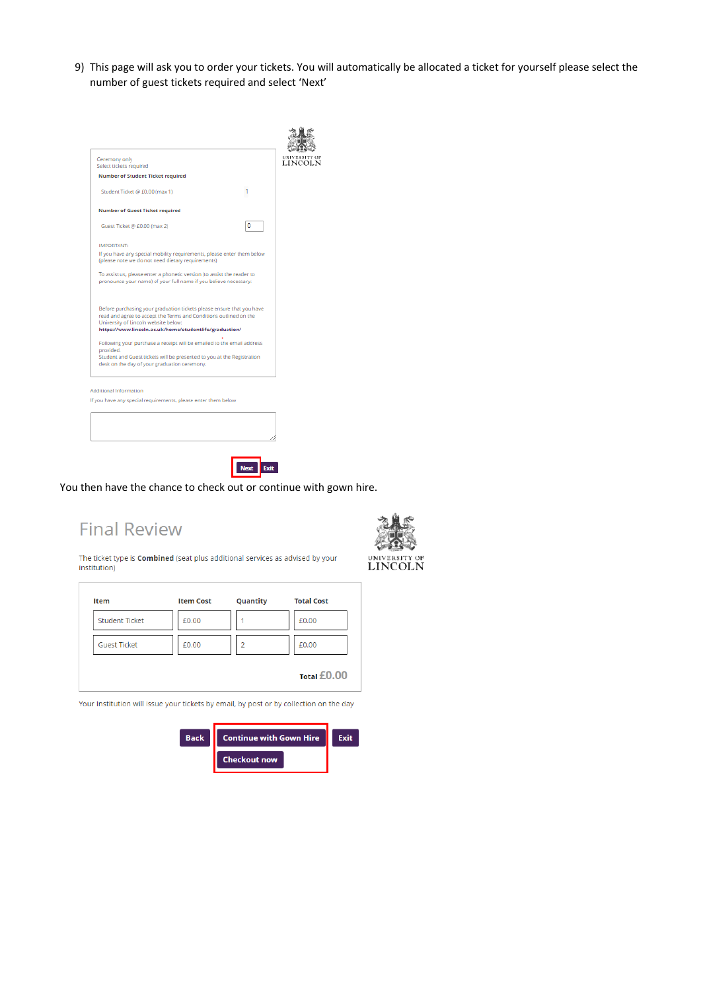9) This page will ask you to order your tickets. You will automatically be allocated a ticket for yourself please select the number of guest tickets required and select 'Next'





## You then have the chance to check out or continue with gown hire.

# **Final Review**



**LINCOLN** 

The ticket type is Combined (seat plus additional services as advised by your institution)

| Item                  | <b>Item Cost</b> | Quantity | <b>Total Cost</b> |
|-----------------------|------------------|----------|-------------------|
| <b>Student Ticket</b> | £0.00            |          | £0.00             |
| <b>Guest Ticket</b>   | £0.00            | 2        | £0.00             |
|                       |                  |          | Total £0.00       |

Your Institution will issue your tickets by email, by post or by collection on the day



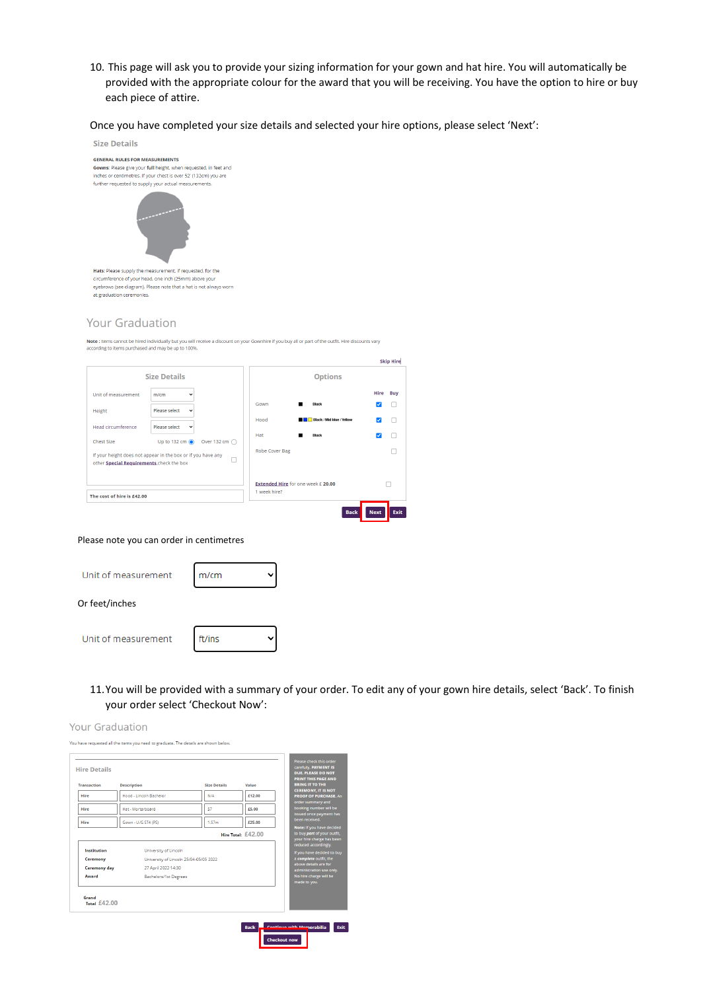10. This page will ask you to provide your sizing information for your gown and hat hire. You will automatically be provided with the appropriate colour for the award that you will be receiving. You have the option to hire or buy each piece of attire.

Once you have completed your size details and selected your hire options, please select 'Next':



### **Your Graduation**

Note : Items cannot be hired individually but you will receive a discount on your Gownhire if you buy all or part of the outfit. Hire discounts vary according to items purchased and may be up to 100%.



#### Please note you can order in centimetres

| Unit of measurement | m/cm   |  |
|---------------------|--------|--|
| Or feet/inches      |        |  |
| Unit of measurement | ft/ins |  |

11.You will be provided with a summary of your order. To edit any of your gown hire details, select 'Back'. To finish your order select 'Checkout Now':

| <b>Your Graduation</b>                                                              |  |
|-------------------------------------------------------------------------------------|--|
| You have requested all the items you need to graduate. The details are shown below. |  |

| <b>Hire Details</b> |                         |                     |                    |
|---------------------|-------------------------|---------------------|--------------------|
| <b>Transaction</b>  | <b>Description</b>      | <b>Size Details</b> | Value              |
| Hire                | Hood - Lincoln Bachelor | N/A                 | £12.00             |
| Hire                | Hat - Mortarboard       | 57                  | £5.00              |
| Hire                | Gown - U/G ST4 (PS)     | 1.57 <sub>m</sub>   | £25.00             |
|                     |                         |                     | Hire Total: £42.00 |

#### Institution University of Lincoln University of Lincoln 25/04-05/05 2022 Ceremony **Ceremony day** 27 April 2022 14:30 Award Bachelors/1st Degrees

Grand<br>Total £42.00



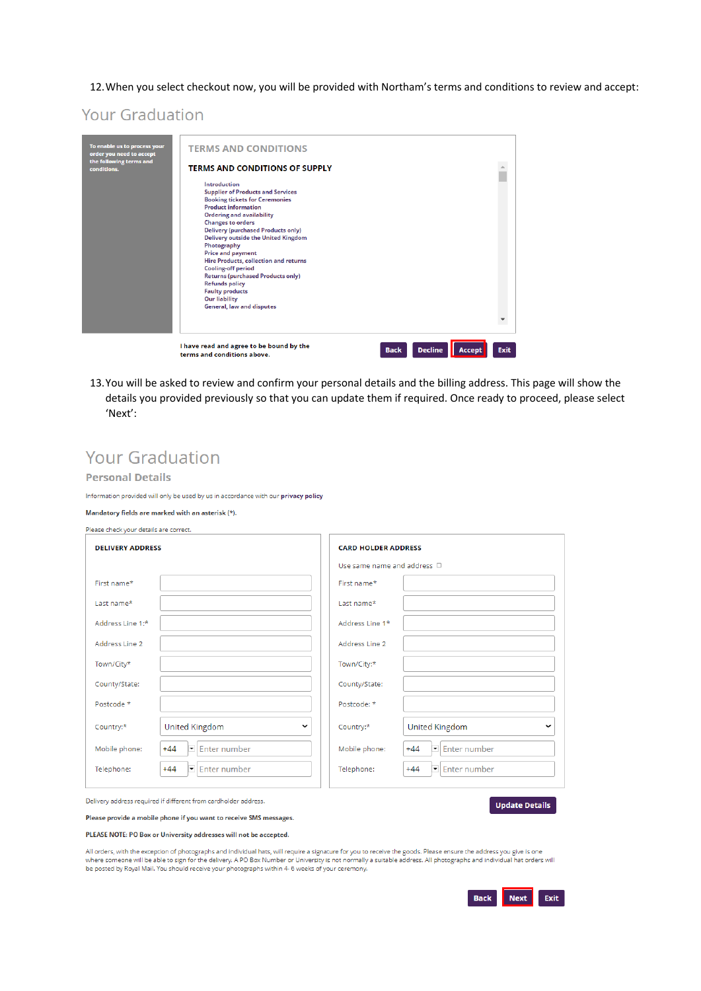12. When you select checkout now, you will be provided with Northam's terms and conditions to review and accept:

# **Your Graduation**

| To enable us to process your<br>order you need to accept | <b>TERMS AND CONDITIONS</b>                                                                                                                                                                                                                                                                                                                                                                                                                                                                                                                                                   |
|----------------------------------------------------------|-------------------------------------------------------------------------------------------------------------------------------------------------------------------------------------------------------------------------------------------------------------------------------------------------------------------------------------------------------------------------------------------------------------------------------------------------------------------------------------------------------------------------------------------------------------------------------|
| the following terms and<br>conditions.                   | <b>TERMS AND CONDITIONS OF SUPPLY</b>                                                                                                                                                                                                                                                                                                                                                                                                                                                                                                                                         |
|                                                          | <b>Introduction</b><br><b>Supplier of Products and Services</b><br><b>Booking tickets for Ceremonies</b><br><b>Product information</b><br><b>Ordering and availability</b><br><b>Changes to orders</b><br><b>Delivery (purchased Products only)</b><br><b>Delivery outside the United Kingdom</b><br>Photography<br><b>Price and payment</b><br>Hire Products, collection and returns<br><b>Cooling-off period</b><br><b>Returns (purchased Products only)</b><br><b>Refunds policy</b><br><b>Faulty products</b><br><b>Our liability</b><br><b>General, law and disputes</b> |
|                                                          | I have read and agree to be bound by the<br><b>Decline</b><br><b>Exit</b><br><b>Back</b><br>Accept<br>terms and conditions above.                                                                                                                                                                                                                                                                                                                                                                                                                                             |

13. You will be asked to review and confirm your personal details and the billing address. This page will show the details you provided previously so that you can update them if required. Once ready to proceed, please select 'Next':

# **Your Graduation**

#### **Personal Details**

Information provided will only be used by us in accordance with our privacy policy

#### Mandatory fields are marked with an asterisk (\*).

| Please check your details are correct. |                                             |                                  |                                       |
|----------------------------------------|---------------------------------------------|----------------------------------|---------------------------------------|
| <b>DELIVERY ADDRESS</b>                |                                             | <b>CARD HOLDER ADDRESS</b>       |                                       |
|                                        |                                             | Use same name and address $\Box$ |                                       |
| First name*                            |                                             | First name*                      |                                       |
| Last name*                             |                                             | Last name*                       |                                       |
| Address Line 1:*                       |                                             | Address Line 1*                  |                                       |
| Address Line 2                         |                                             | Address Line 2                   |                                       |
| Town/City*                             |                                             | Town/City:*                      |                                       |
| County/State:                          |                                             | County/State:                    |                                       |
| Postcode *                             |                                             | Postcode: *                      |                                       |
| Country:*                              | United Kingdom<br>$\checkmark$              | Country:*                        | <b>United Kingdom</b><br>$\checkmark$ |
| Mobile phone:                          | $\mathsf{L}$ 44 $\blacksquare$ Enter number | Mobile phone:                    | $\mathsf{A}$ A $\Box$ Enterprise ber  |

| $+44$<br>Mobile phone: | $\blacktriangleright$ Enter number | Mobile phone: | $+44$ | $\boxed{\blacksquare}$ Enter number |
|------------------------|------------------------------------|---------------|-------|-------------------------------------|
| $+44$<br>Telephone:    | $\blacktriangleright$ Enter number | Telephone:    | $+44$ | Enter number                        |

Delivery address required if different from cardholder address.

**Update Details** 

#### Please provide a mobile phone if you want to receive SMS messages.

PLEASE NOTE: PO Box or University addresses will not be accepted.

All orders, with the exception of photographs and individual hats, will require a signature for you to receive the goods. Please ensure the address you give is one where someone will be able to sign for the delivery. A PO Box Number or University is not normally a suitable address. All photographs and individual hat orders will be posted by Royal Mail. You should receive your photographs within 4- 6 weeks of your ceremony.